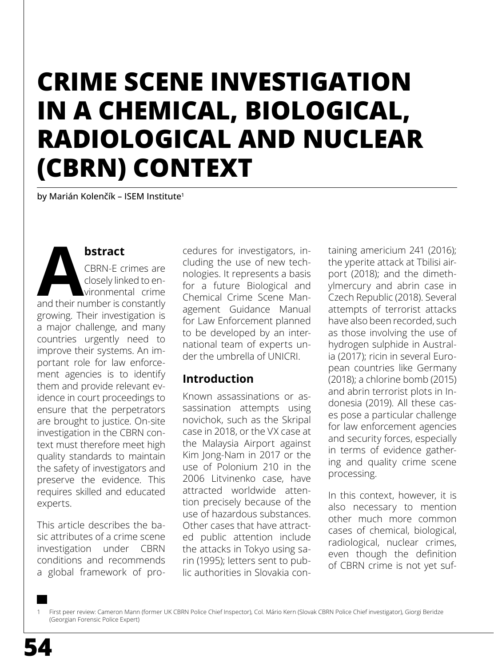# **CRIME SCENE INVESTIGATION IN A CHEMICAL, BIOLOGICAL, RADIOLOGICAL AND NUCLEAR (CBRN) CONTEXT**

by Marián Kolenčík - ISEM Institute<sup>1</sup>

**bstract**<br>
CBRN-E crimes are<br>
closely linked to environmental crime<br>
and their number is constantly CBRN-E crimes are closely linked to environmental crime growing. Their investigation is a major challenge, and many countries urgently need to improve their systems. An important role for law enforcement agencies is to identify them and provide relevant evidence in court proceedings to ensure that the perpetrators are brought to justice. On-site investigation in the CBRN context must therefore meet high quality standards to maintain the safety of investigators and preserve the evidence. This requires skilled and educated experts.

This article describes the basic attributes of a crime scene investigation under CBRN conditions and recommends a global framework of pro-

cedures for investigators, including the use of new technologies. It represents a basis for a future Biological and Chemical Crime Scene Management Guidance Manual for Law Enforcement planned to be developed by an international team of experts under the umbrella of UNICRI.

#### **Introduction**

Known assassinations or assassination attempts using novichok, such as the Skripal case in 2018, or the VX case at the Malaysia Airport against Kim Jong-Nam in 2017 or the use of Polonium 210 in the 2006 Litvinenko case, have attracted worldwide attention precisely because of the use of hazardous substances. Other cases that have attracted public attention include the attacks in Tokyo using sarin (1995); letters sent to public authorities in Slovakia con-

taining americium 241 (2016); the yperite attack at Tbilisi airport (2018); and the dimethylmercury and abrin case in Czech Republic (2018). Several attempts of terrorist attacks have also been recorded, such as those involving the use of hydrogen sulphide in Australia (2017); ricin in several European countries like Germany (2018); a chlorine bomb (2015) and abrin terrorist plots in Indonesia (2019). All these cases pose a particular challenge for law enforcement agencies and security forces, especially in terms of evidence gathering and quality crime scene processing.

In this context, however, it is also necessary to mention other much more common cases of chemical, biological, radiological, nuclear crimes, even though the definition of CBRN crime is not yet suf-

<sup>1</sup> First peer review: Cameron Mann (former UK CBRN Police Chief Inspector), Col. Mário Kern (Slovak CBRN Police Chief investigator), Giorgi Beridze (Georgian Forensic Police Expert)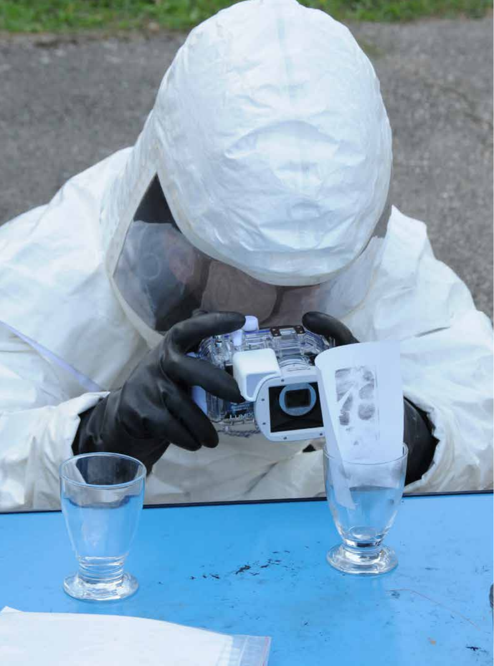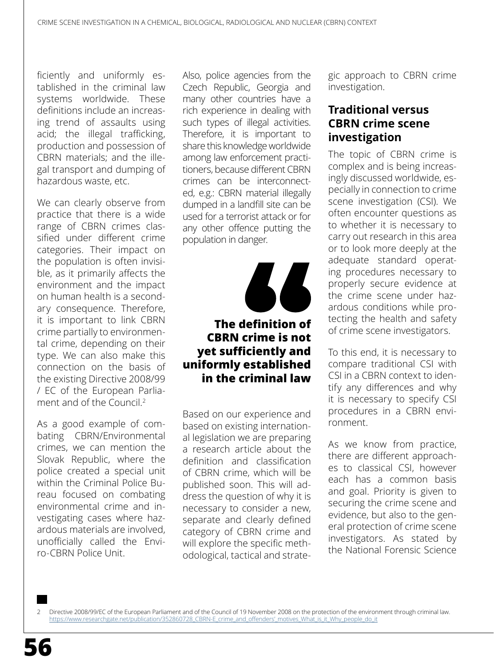ficiently and uniformly established in the criminal law systems worldwide. These definitions include an increasing trend of assaults using acid; the illegal trafficking, production and possession of CBRN materials; and the illegal transport and dumping of hazardous waste, etc.

We can clearly observe from practice that there is a wide range of CBRN crimes classified under different crime categories. Their impact on the population is often invisible, as it primarily affects the environment and the impact on human health is a secondary consequence. Therefore, it is important to link CBRN crime partially to environmental crime, depending on their type. We can also make this connection on the basis of the existing Directive 2008/99 / EC of the European Parliament and of the Council<sup>2</sup>

As a good example of combating CBRN/Environmental crimes, we can mention the Slovak Republic, where the police created a special unit within the Criminal Police Bureau focused on combating environmental crime and investigating cases where hazardous materials are involved, unofficially called the Enviro-CBRN Police Unit.

Also, police agencies from the Czech Republic, Georgia and many other countries have a rich experience in dealing with such types of illegal activities. Therefore, it is important to share this knowledge worldwide among law enforcement practitioners, because different CBRN crimes can be interconnected, e.g.: CBRN material illegally dumped in a landfill site can be used for a terrorist attack or for any other offence putting the population in danger.

# **The definition of CBRN crime is not yet sufficiently and uniformly established in the criminal law**

44

Based on our experience and based on existing international legislation we are preparing a research article about the definition and classification of CBRN crime, which will be published soon. This will address the question of why it is necessary to consider a new, separate and clearly defined category of CBRN crime and will explore the specific methodological, tactical and strategic approach to CBRN crime investigation.

#### **Traditional versus CBRN crime scene investigation**

The topic of CBRN crime is complex and is being increasingly discussed worldwide, especially in connection to crime scene investigation (CSI). We often encounter questions as to whether it is necessary to carry out research in this area or to look more deeply at the adequate standard operating procedures necessary to properly secure evidence at the crime scene under hazardous conditions while protecting the health and safety of crime scene investigators.

To this end, it is necessary to compare traditional CSI with CSI in a CBRN context to identify any differences and why it is necessary to specify CSI procedures in a CBRN environment.

As we know from practice, there are different approaches to classical CSI, however each has a common basis and goal. Priority is given to securing the crime scene and evidence, but also to the general protection of crime scene investigators. As stated by the National Forensic Science

2 Directive 2008/99/EC of the European Parliament and of the Council of 19 November 2008 on the protection of the environment through criminal law. https://w[ww.research](https://www.researchgate.net/publication/352860728_CBRN-E_crime_and_offenders)gate.net/publication/352860728\_CBRN-E\_crime\_and\_offenders'\_motives\_What\_is\_it\_Why\_people\_do\_it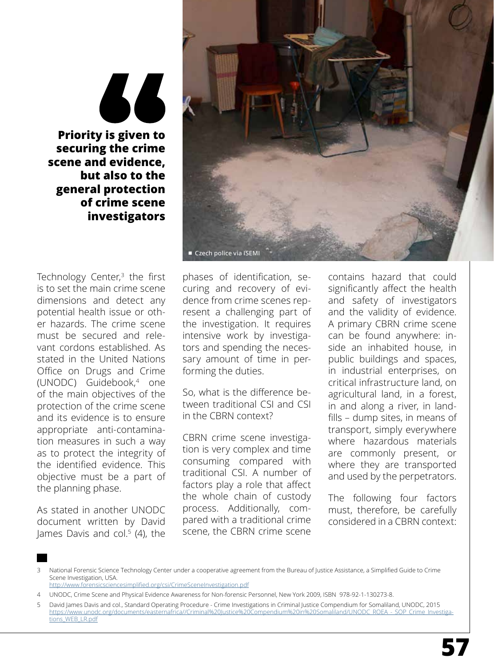66 **Priority is given to securing the crime scene and evidence, but also to the general protection of crime scene investigators**

Technology Center,3 the first is to set the main crime scene dimensions and detect any potential health issue or other hazards. The crime scene must be secured and relevant cordons established. As stated in the United Nations Office on Drugs and Crime (UNODC) Guidebook,4 one of the main objectives of the protection of the crime scene and its evidence is to ensure appropriate anti-contamination measures in such a way as to protect the integrity of the identified evidence. This objective must be a part of the planning phase.

As stated in another UNODC document written by David James Davis and col.5 (4), the



phases of identification, securing and recovery of evidence from crime scenes represent a challenging part of the investigation. It requires intensive work by investigators and spending the necessary amount of time in performing the duties.

So, what is the difference between traditional CSI and CSI in the CBRN context?

CBRN crime scene investigation is very complex and time consuming compared with traditional CSI. A number of factors play a role that affect the whole chain of custody process. Additionally, compared with a traditional crime scene, the CBRN crime scene

contains hazard that could significantly affect the health and safety of investigators and the validity of evidence. A primary CBRN crime scene can be found anywhere: inside an inhabited house, in public buildings and spaces, in industrial enterprises, on critical infrastructure land, on agricultural land, in a forest, in and along a river, in landfills – dump sites, in means of transport, simply everywhere where hazardous materials are commonly present, or where they are transported and used by the perpetrators.

The following four factors must, therefore, be carefully considered in a CBRN context:

- 3 National Forensic Science Technology Center under a cooperative agreement from the Bureau of Justice Assistance, a Simplified Guide to Crime Scene Investigation, USA. <http://www.forensicsciencesimplified.org/csi/CrimeSceneInvestigation.pdf>
- 4 UNODC, Crime Scene and Physical Evidence Awareness for Non-forensic Personnel, New York 2009, ISBN 978-92-1-130273-8.

<sup>5</sup> David James Davis and col., Standard Operating Procedure - Crime Investigations in Criminal Justice Compendium for Somaliland, UNODC, 2015 https://www.unodc.org/documents/easternafrica//Criminal%20Justice%20Compendium%20in%20Somaliland/UNODC\_ROEA [tions\\_WEB\\_LR.pdf](https://www.unodc.org/documents/easternafrica//Criminal%20Justice%20Compendium%20in%20Somaliland/UNODC_ROEA_-_SOP_Crime_Investigations_WEB_LR.pdf)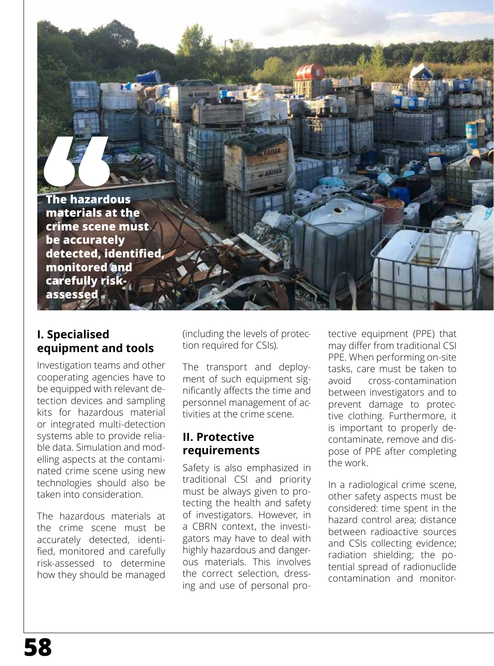**The hazardous materials at the crime scene must be accurately detected, identified, monitored and carefully riskassessed**

#### **I. Specialised equipment and tools**

Investigation teams and other cooperating agencies have to be equipped with relevant detection devices and sampling kits for hazardous material or integrated multi-detection systems able to provide reliable data. Simulation and modelling aspects at the contaminated crime scene using new technologies should also be taken into consideration.

The hazardous materials at the crime scene must be accurately detected, identified, monitored and carefully risk-assessed to determine how they should be managed

(including the levels of protection required for CSIs).

The transport and deployment of such equipment significantly affects the time and personnel management of activities at the crime scene.

#### **II. Protective requirements**

Crime scene investigation in a chemical, biological, radiological and nuclear (CBRN) context

Safety is also emphasized in traditional CSI and priority must be always given to protecting the health and safety of investigators. However, in a CBRN context, the investigators may have to deal with highly hazardous and dangerous materials. This involves the correct selection, dressing and use of personal protective equipment (PPE) that may differ from traditional CSI PPE. When performing on-site tasks, care must be taken to avoid cross-contamination between investigators and to prevent damage to protective clothing. Furthermore, it is important to properly decontaminate, remove and dispose of PPE after completing the work.

In a radiological crime scene, other safety aspects must be considered: time spent in the hazard control area; distance between radioactive sources and CSIs collecting evidence; radiation shielding; the potential spread of radionuclide contamination and monitor-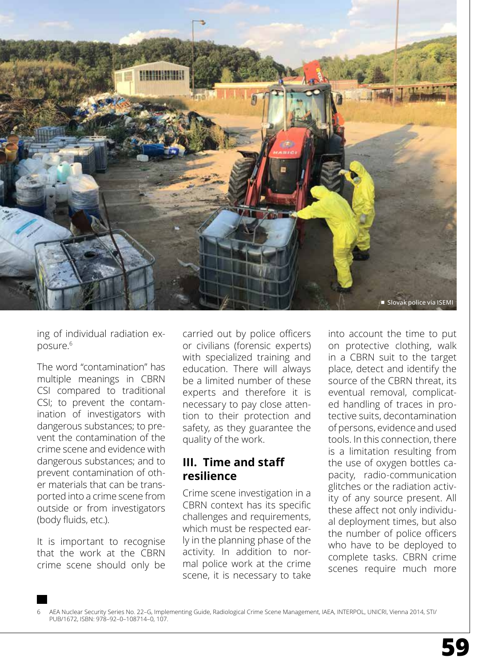

ing of individual radiation exposure.6

The word "contamination" has multiple meanings in CBRN CSI compared to traditional CSI; to prevent the contamination of investigators with dangerous substances; to prevent the contamination of the crime scene and evidence with dangerous substances; and to prevent contamination of other materials that can be transported into a crime scene from outside or from investigators (body fluids, etc.).

It is important to recognise that the work at the CBRN crime scene should only be

carried out by police officers or civilians (forensic experts) with specialized training and education. There will always be a limited number of these experts and therefore it is necessary to pay close attention to their protection and safety, as they guarantee the quality of the work.

#### **III. Time and staff resilience**

Crime scene investigation in a CBRN context has its specific challenges and requirements, which must be respected early in the planning phase of the activity. In addition to normal police work at the crime scene, it is necessary to take

into account the time to put on protective clothing, walk in a CBRN suit to the target place, detect and identify the source of the CBRN threat, its eventual removal, complicated handling of traces in protective suits, decontamination of persons, evidence and used tools. In this connection, there is a limitation resulting from the use of oxygen bottles capacity, radio-communication glitches or the radiation activity of any source present. All these affect not only individual deployment times, but also the number of police officers who have to be deployed to complete tasks. CBRN crime scenes require much more

<sup>6</sup> AEA Nuclear Security Series No. 22–G, Implementing Guide, Radiological Crime Scene Management, IAEA, INTERPOL, UNICRI, Vienna 2014, STI/ PUB/1672, ISBN: 978–92–0–108714–0, 107.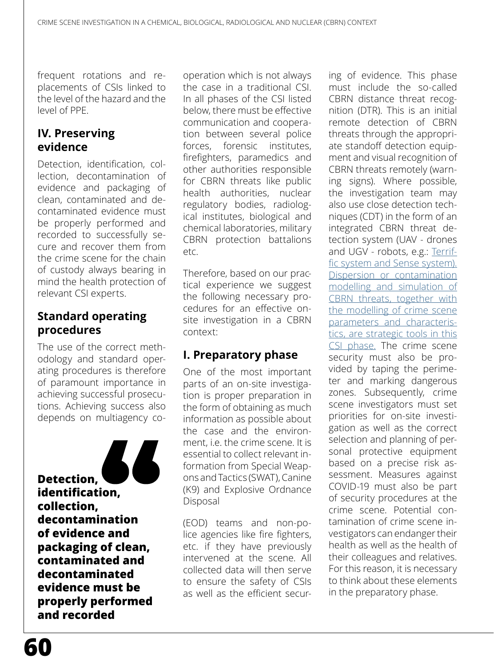frequent rotations and replacements of CSIs linked to the level of the hazard and the level of PPE.

## **IV. Preserving evidence**

Detection, identification, collection, decontamination of evidence and packaging of clean, contaminated and decontaminated evidence must be properly performed and recorded to successfully secure and recover them from the crime scene for the chain of custody always bearing in mind the health protection of relevant CSI experts.

#### **Standard operating procedures**

The use of the correct methodology and standard operating procedures is therefore of paramount importance in achieving successful prosecutions. Achieving success also depends on multiagency co-

**Detection, identification, collection, decontamination of evidence and packaging of clean, contaminated and decontaminated evidence must be properly performed and recorded**

operation which is not always the case in a traditional CSI. In all phases of the CSI listed below, there must be effective communication and cooperation between several police forces, forensic institutes, firefighters, paramedics and other authorities responsible for CBRN threats like public health authorities, nuclear regulatory bodies, radiological institutes, biological and chemical laboratories, military CBRN protection battalions etc.

Therefore, based on our practical experience we suggest the following necessary procedures for an effective onsite investigation in a CBRN context:

# **I. Preparatory phase**

One of the most important parts of an on-site investigation is proper preparation in the form of obtaining as much information as possible about the case and the environment, i.e. the crime scene. It is essential to collect relevant information from Special Weapons and Tactics (SWAT), Canine (K9) and Explosive Ordnance Disposal

(EOD) teams and non-police agencies like fire fighters, etc. if they have previously intervened at the scene. All collected data will then serve to ensure the safety of CSIs as well as the efficient secur-

ing of evidence. This phase must include the so-called CBRN distance threat recognition (DTR). This is an initial remote detection of CBRN threats through the appropriate standoff detection equipment and visual recognition of CBRN threats remotely (warning signs). Where possible, the investigation team may also use close detection techniques (CDT) in the form of an integrated CBRN threat detection system (UAV - drones and UGV - robots, e.g.: [Terrif](https://www.terriffic.eu/;)[fic system](https://www.terriffic.eu/;) and [Sense system](https://eu-sense.eu/)). Dispersion or contamination modelling and simulation of CBRN threats, together with the modelling of crime scene parameters and characteristics, are strategic tools in this CSI phase. The crime scene security must also be provided by taping the perimeter and marking dangerous zones. Subsequently, crime scene investigators must set priorities for on-site investigation as well as the correct selection and planning of personal protective equipment based on a precise risk assessment. Measures against COVID-19 must also be part of security procedures at the crime scene. Potential contamination of crime scene investigators can endanger their health as well as the health of their colleagues and relatives. For this reason, it is necessary to think about these elements in the preparatory phase.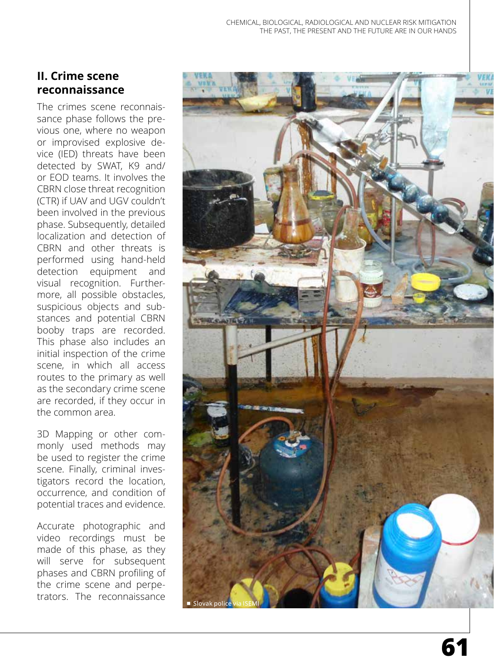### **II. Crime scene reconnaissance**

The crimes scene reconnais sance phase follows the pre vious one, where no weapon or improvised explosive de vice (IE D) threats have been detected by SWAT, K9 and/ or EO D teams. It involves the CBRN close threat recognition (CTR) if UAV and UGV couldn't been involved in the previous phase. Subsequently, detailed localization and detection of CBRN and other threats is performed using hand-held detection equipment and visual recognition. Furthermore, all possible obstacles, suspicious objects and sub stances and potential CBRN booby traps are recorded. This phase also includes an initial inspection of the crime scene, in which all access routes to the primary as well as the secondary crime scene are recorded, if they occur in

the common area.<br>3D Mapping or other commonly used methods may be used to register the crime scene. Finally, criminal inves tigators record the location, occurrence, and condition of potential traces and evidence.

Accurate photographic and video recordings must be made of this phase, as they will serve for subsequent phases and CBRN profiling of the crime scene and perpe trators. The reconnaissance

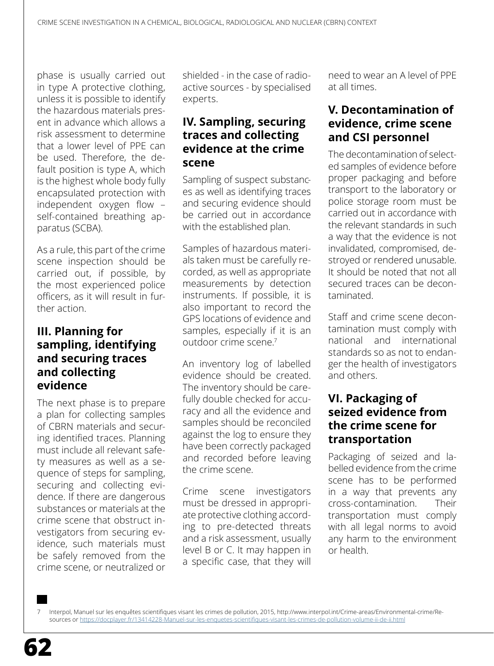phase is usually carried out in type A protective clothing, unless it is possible to identify the hazardous materials present in advance which allows a risk assessment to determine that a lower level of PPE can be used. Therefore, the default position is type A, which is the highest whole body fully encapsulated protection with independent oxygen flow – self-contained breathing apparatus (SCBA).

As a rule, this part of the crime scene inspection should be carried out, if possible, by the most experienced police officers, as it will result in further action.

#### **III. Planning for sampling, identifying and securing traces and collecting evidence**

The next phase is to prepare a plan for collecting samples of CBRN materials and securing identified traces. Planning must include all relevant safety measures as well as a sequence of steps for sampling, securing and collecting evidence. If there are dangerous substances or materials at the crime scene that obstruct investigators from securing evidence, such materials must be safely removed from the crime scene, or neutralized or shielded - in the case of radioactive sources - by specialised experts.

#### **IV. Sampling, securing traces and collecting evidence at the crime scene**

Sampling of suspect substances as well as identifying traces and securing evidence should be carried out in accordance with the established plan.

Samples of hazardous materials taken must be carefully recorded, as well as appropriate measurements by detection instruments. If possible, it is also important to record the GPS locations of evidence and samples, especially if it is an outdoor crime scene.<sup>7</sup>

An inventory log of labelled evidence should be created. The inventory should be carefully double checked for accuracy and all the evidence and samples should be reconciled against the log to ensure they have been correctly packaged and recorded before leaving the crime scene.

Crime scene investigators must be dressed in appropriate protective clothing according to pre-detected threats and a risk assessment, usually level B or C. It may happen in a specific case, that they will

need to wear an A level of PPE at all times.

#### **V. Decontamination of evidence, crime scene and CSI personnel**

The decontamination of selected samples of evidence before proper packaging and before transport to the laboratory or police storage room must be carried out in accordance with the relevant standards in such a way that the evidence is not invalidated, compromised, destroyed or rendered unusable. It should be noted that not all secured traces can be decontaminated.

Staff and crime scene decontamination must comply with national and international standards so as not to endanger the health of investigators and others.

#### **VI. Packaging of seized evidence from the crime scene for transportation**

Packaging of seized and labelled evidence from the crime scene has to be performed in a way that prevents any cross-contamination. Their transportation must comply with all legal norms to avoid any harm to the environment or health.

7 Interpol, Manuel sur les enquêtes scientifiques visant les crimes de pollution, 2015, [http://www.interpol.int/Crime-areas/Environmental-crime/Re](http://www.interpol.int/Crime-areas/Environmental-crime/Resources)[sources](http://www.interpol.int/Crime-areas/Environmental-crime/Resources) or <https://docplayer.fr/13414228-Manuel-sur-les-enquetes-scientifiques-visant-les-crimes-de-pollution-volume-ii-de-ii.html>